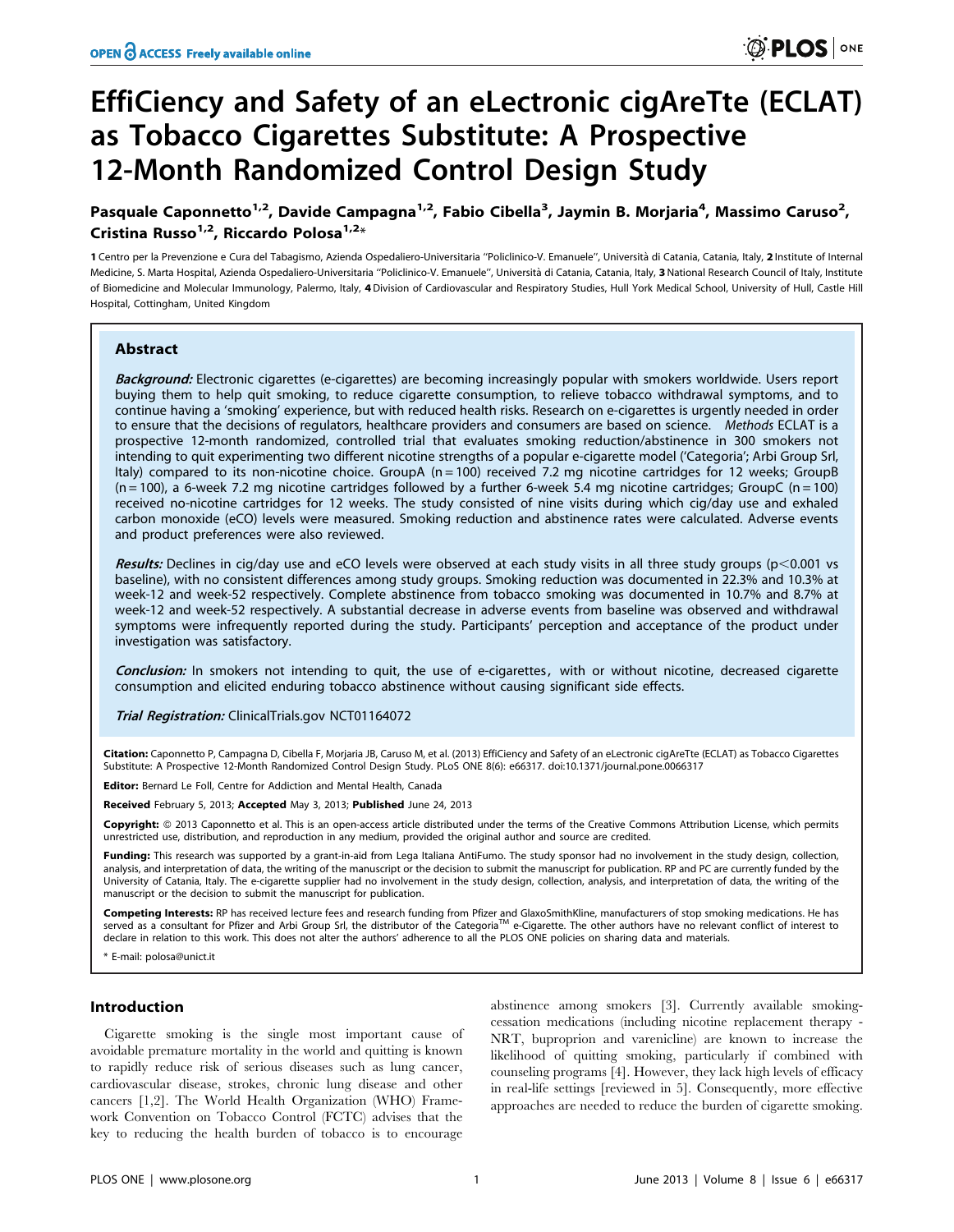# EffiCiency and Safety of an eLectronic cigAreTte (ECLAT) as Tobacco Cigarettes Substitute: A Prospective 12-Month Randomized Control Design Study

# Pasquale Caponnetto<sup>1,2</sup>, Davide Campagna<sup>1,2</sup>, Fabio Cibella<sup>3</sup>, Jaymin B. Morjaria<sup>4</sup>, Massimo Caruso<sup>2</sup>, Cristina Russo<sup>1,2</sup>, Riccardo Polosa<sup>1,2\*</sup>

1 Centro per la Prevenzione e Cura del Tabagismo, Azienda Ospedaliero-Universitaria ''Policlinico-V. Emanuele'', Universita` di Catania, Catania, Italy, 2 Institute of Internal Medicine, S. Marta Hospital, Azienda Ospedaliero-Universitaria "Policlinico-V. Emanuele", Università di Catania, Catania, Italy, 3 National Research Council of Italy, Institute of Biomedicine and Molecular Immunology, Palermo, Italy, 4 Division of Cardiovascular and Respiratory Studies, Hull York Medical School, University of Hull, Castle Hill Hospital, Cottingham, United Kingdom

# Abstract

Background: Electronic cigarettes (e-cigarettes) are becoming increasingly popular with smokers worldwide. Users report buying them to help quit smoking, to reduce cigarette consumption, to relieve tobacco withdrawal symptoms, and to continue having a 'smoking' experience, but with reduced health risks. Research on e-cigarettes is urgently needed in order to ensure that the decisions of regulators, healthcare providers and consumers are based on science. Methods ECLAT is a prospective 12-month randomized, controlled trial that evaluates smoking reduction/abstinence in 300 smokers not intending to quit experimenting two different nicotine strengths of a popular e-cigarette model ('Categoria'; Arbi Group Srl, Italy) compared to its non-nicotine choice. GroupA  $(n = 100)$  received 7.2 mg nicotine cartridges for 12 weeks; GroupB  $(n = 100)$ , a 6-week 7.2 mg nicotine cartridges followed by a further 6-week 5.4 mg nicotine cartridges; GroupC  $(n = 100)$ received no-nicotine cartridges for 12 weeks. The study consisted of nine visits during which cig/day use and exhaled carbon monoxide (eCO) levels were measured. Smoking reduction and abstinence rates were calculated. Adverse events and product preferences were also reviewed.

Results: Declines in cig/day use and eCO levels were observed at each study visits in all three study groups (p $<$ 0.001 vs baseline), with no consistent differences among study groups. Smoking reduction was documented in 22.3% and 10.3% at week-12 and week-52 respectively. Complete abstinence from tobacco smoking was documented in 10.7% and 8.7% at week-12 and week-52 respectively. A substantial decrease in adverse events from baseline was observed and withdrawal symptoms were infrequently reported during the study. Participants' perception and acceptance of the product under investigation was satisfactory.

Conclusion: In smokers not intending to quit, the use of e-cigarettes, with or without nicotine, decreased cigarette consumption and elicited enduring tobacco abstinence without causing significant side effects.

Trial Registration: ClinicalTrials.gov NCT01164072

Citation: Caponnetto P, Campagna D, Cibella F, Morjaria JB, Caruso M, et al. (2013) EffiCiency and Safety of an eLectronic cigAreTte (ECLAT) as Tobacco Cigarettes Substitute: A Prospective 12-Month Randomized Control Design Study. PLoS ONE 8(6): e66317. doi:10.1371/journal.pone.0066317

Editor: Bernard Le Foll, Centre for Addiction and Mental Health, Canada

Received February 5, 2013; Accepted May 3, 2013; Published June 24, 2013

Copyright: © 2013 Caponnetto et al. This is an open-access article distributed under the terms of the Creative Commons Attribution License, which permits unrestricted use, distribution, and reproduction in any medium, provided the original author and source are credited.

Funding: This research was supported by a grant-in-aid from Lega Italiana AntiFumo. The study sponsor had no involvement in the study design, collection, analysis, and interpretation of data, the writing of the manuscript or the decision to submit the manuscript for publication. RP and PC are currently funded by the University of Catania, Italy. The e-cigarette supplier had no involvement in the study design, collection, analysis, and interpretation of data, the writing of the manuscript or the decision to submit the manuscript for publication.

**Competing Interests:** RP has received lecture fees and research funding from Pfizer and GlaxoSmithKline, manufacturers of stop smoking medications. He has<br>served as a consultant for Pfizer and Arbi Group Srl, the distrib declare in relation to this work. This does not alter the authors' adherence to all the PLOS ONE policies on sharing data and materials.

\* E-mail: polosa@unict.it

#### Introduction

Cigarette smoking is the single most important cause of avoidable premature mortality in the world and quitting is known to rapidly reduce risk of serious diseases such as lung cancer, cardiovascular disease, strokes, chronic lung disease and other cancers [1,2]. The World Health Organization (WHO) Framework Convention on Tobacco Control (FCTC) advises that the key to reducing the health burden of tobacco is to encourage

abstinence among smokers [3]. Currently available smokingcessation medications (including nicotine replacement therapy - NRT, buproprion and varenicline) are known to increase the likelihood of quitting smoking, particularly if combined with counseling programs [4]. However, they lack high levels of efficacy in real-life settings [reviewed in 5]. Consequently, more effective approaches are needed to reduce the burden of cigarette smoking.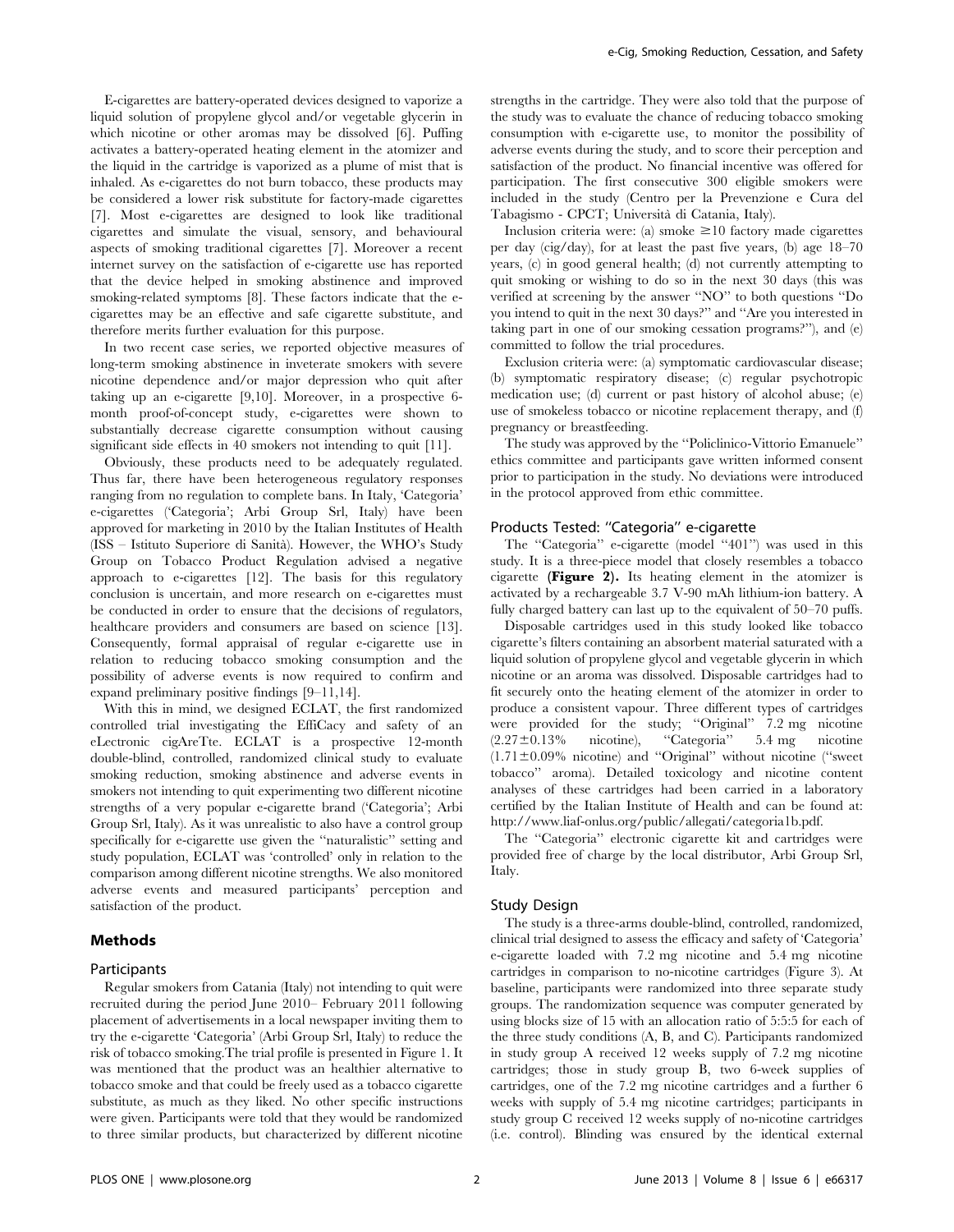E-cigarettes are battery-operated devices designed to vaporize a liquid solution of propylene glycol and/or vegetable glycerin in which nicotine or other aromas may be dissolved [6]. Puffing activates a battery-operated heating element in the atomizer and the liquid in the cartridge is vaporized as a plume of mist that is inhaled. As e-cigarettes do not burn tobacco, these products may be considered a lower risk substitute for factory-made cigarettes [7]. Most e-cigarettes are designed to look like traditional cigarettes and simulate the visual, sensory, and behavioural aspects of smoking traditional cigarettes [7]. Moreover a recent internet survey on the satisfaction of e-cigarette use has reported that the device helped in smoking abstinence and improved smoking-related symptoms [8]. These factors indicate that the ecigarettes may be an effective and safe cigarette substitute, and therefore merits further evaluation for this purpose.

In two recent case series, we reported objective measures of long-term smoking abstinence in inveterate smokers with severe nicotine dependence and/or major depression who quit after taking up an e-cigarette [9,10]. Moreover, in a prospective 6 month proof-of-concept study, e-cigarettes were shown to substantially decrease cigarette consumption without causing significant side effects in 40 smokers not intending to quit [11].

Obviously, these products need to be adequately regulated. Thus far, there have been heterogeneous regulatory responses ranging from no regulation to complete bans. In Italy, 'Categoria' e-cigarettes ('Categoria'; Arbi Group Srl, Italy) have been approved for marketing in 2010 by the Italian Institutes of Health (ISS – Istituto Superiore di Sanita`). However, the WHO's Study Group on Tobacco Product Regulation advised a negative approach to e-cigarettes [12]. The basis for this regulatory conclusion is uncertain, and more research on e-cigarettes must be conducted in order to ensure that the decisions of regulators, healthcare providers and consumers are based on science [13]. Consequently, formal appraisal of regular e-cigarette use in relation to reducing tobacco smoking consumption and the possibility of adverse events is now required to confirm and expand preliminary positive findings [9–11,14].

With this in mind, we designed ECLAT, the first randomized controlled trial investigating the EffiCacy and safety of an eLectronic cigAreTte. ECLAT is a prospective 12-month double-blind, controlled, randomized clinical study to evaluate smoking reduction, smoking abstinence and adverse events in smokers not intending to quit experimenting two different nicotine strengths of a very popular e-cigarette brand ('Categoria'; Arbi Group Srl, Italy). As it was unrealistic to also have a control group specifically for e-cigarette use given the ''naturalistic'' setting and study population, ECLAT was 'controlled' only in relation to the comparison among different nicotine strengths. We also monitored adverse events and measured participants' perception and satisfaction of the product.

# Methods

#### Participants

Regular smokers from Catania (Italy) not intending to quit were recruited during the period June 2010– February 2011 following placement of advertisements in a local newspaper inviting them to try the e-cigarette 'Categoria' (Arbi Group Srl, Italy) to reduce the risk of tobacco smoking.The trial profile is presented in Figure 1. It was mentioned that the product was an healthier alternative to tobacco smoke and that could be freely used as a tobacco cigarette substitute, as much as they liked. No other specific instructions were given. Participants were told that they would be randomized to three similar products, but characterized by different nicotine

strengths in the cartridge. They were also told that the purpose of the study was to evaluate the chance of reducing tobacco smoking consumption with e-cigarette use, to monitor the possibility of adverse events during the study, and to score their perception and satisfaction of the product. No financial incentive was offered for participation. The first consecutive 300 eligible smokers were included in the study (Centro per la Prevenzione e Cura del Tabagismo - CPCT; Universita` di Catania, Italy).

Inclusion criteria were: (a) smoke  $\geq 10$  factory made cigarettes per day (cig/day), for at least the past five years, (b) age 18–70 years, (c) in good general health; (d) not currently attempting to quit smoking or wishing to do so in the next 30 days (this was verified at screening by the answer ''NO'' to both questions ''Do you intend to quit in the next 30 days?'' and ''Are you interested in taking part in one of our smoking cessation programs?''), and (e) committed to follow the trial procedures.

Exclusion criteria were: (a) symptomatic cardiovascular disease; (b) symptomatic respiratory disease; (c) regular psychotropic medication use; (d) current or past history of alcohol abuse; (e) use of smokeless tobacco or nicotine replacement therapy, and (f) pregnancy or breastfeeding.

The study was approved by the ''Policlinico-Vittorio Emanuele'' ethics committee and participants gave written informed consent prior to participation in the study. No deviations were introduced in the protocol approved from ethic committee.

# Products Tested: ''Categoria'' e-cigarette

The "Categoria" e-cigarette (model "401") was used in this study. It is a three-piece model that closely resembles a tobacco cigarette (Figure 2). Its heating element in the atomizer is activated by a rechargeable 3.7 V-90 mAh lithium-ion battery. A fully charged battery can last up to the equivalent of 50–70 puffs.

Disposable cartridges used in this study looked like tobacco cigarette's filters containing an absorbent material saturated with a liquid solution of propylene glycol and vegetable glycerin in which nicotine or an aroma was dissolved. Disposable cartridges had to fit securely onto the heating element of the atomizer in order to produce a consistent vapour. Three different types of cartridges were provided for the study; ''Original'' 7.2 mg nicotine  $(2.27\pm0.13\%$  nicotine), "Categoria" 5.4 mg nicotine  $(1.71\pm0.09\%$  nicotine) and "Original" without nicotine ("sweet tobacco'' aroma). Detailed toxicology and nicotine content analyses of these cartridges had been carried in a laboratory certified by the Italian Institute of Health and can be found at: http://www.liaf-onlus.org/public/allegati/categoria1b.pdf.

The ''Categoria'' electronic cigarette kit and cartridges were provided free of charge by the local distributor, Arbi Group Srl, Italy.

#### Study Design

The study is a three-arms double-blind, controlled, randomized, clinical trial designed to assess the efficacy and safety of 'Categoria' e-cigarette loaded with 7.2 mg nicotine and 5.4 mg nicotine cartridges in comparison to no-nicotine cartridges (Figure 3). At baseline, participants were randomized into three separate study groups. The randomization sequence was computer generated by using blocks size of 15 with an allocation ratio of 5:5:5 for each of the three study conditions (A, B, and C). Participants randomized in study group A received 12 weeks supply of 7.2 mg nicotine cartridges; those in study group B, two 6-week supplies of cartridges, one of the 7.2 mg nicotine cartridges and a further 6 weeks with supply of 5.4 mg nicotine cartridges; participants in study group C received 12 weeks supply of no-nicotine cartridges (i.e. control). Blinding was ensured by the identical external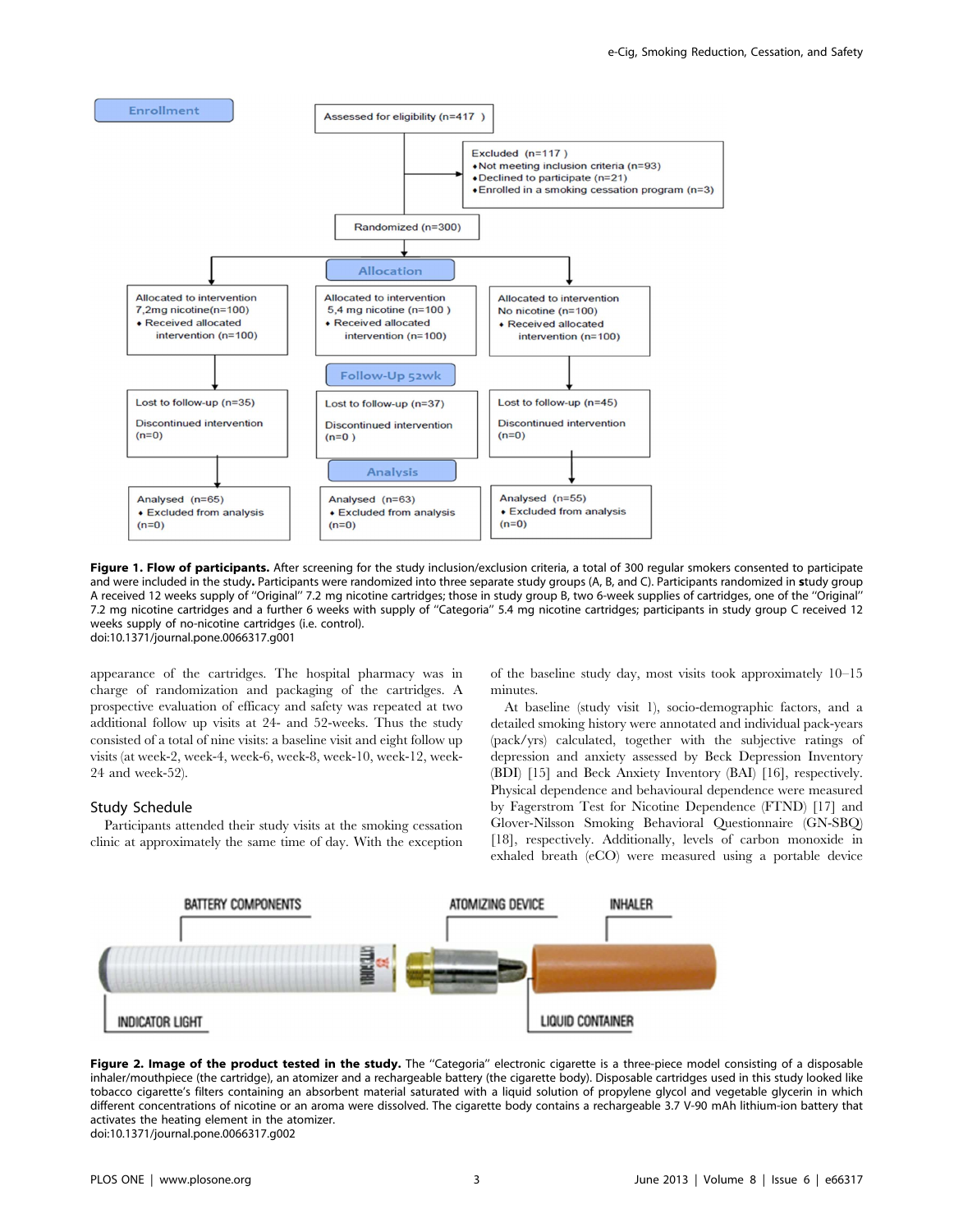

Figure 1. Flow of participants. After screening for the study inclusion/exclusion criteria, a total of 300 regular smokers consented to participate and were included in the study. Participants were randomized into three separate study groups (A, B, and C). Participants randomized in study group A received 12 weeks supply of ''Original'' 7.2 mg nicotine cartridges; those in study group B, two 6-week supplies of cartridges, one of the ''Original'' 7.2 mg nicotine cartridges and a further 6 weeks with supply of ''Categoria'' 5.4 mg nicotine cartridges; participants in study group C received 12 weeks supply of no-nicotine cartridges (i.e. control). doi:10.1371/journal.pone.0066317.g001

appearance of the cartridges. The hospital pharmacy was in charge of randomization and packaging of the cartridges. A prospective evaluation of efficacy and safety was repeated at two additional follow up visits at 24- and 52-weeks. Thus the study consisted of a total of nine visits: a baseline visit and eight follow up visits (at week-2, week-4, week-6, week-8, week-10, week-12, week-24 and week-52).

#### Study Schedule

Participants attended their study visits at the smoking cessation clinic at approximately the same time of day. With the exception of the baseline study day, most visits took approximately 10–15 minutes.

At baseline (study visit 1), socio-demographic factors, and a detailed smoking history were annotated and individual pack-years (pack/yrs) calculated, together with the subjective ratings of depression and anxiety assessed by Beck Depression Inventory (BDI) [15] and Beck Anxiety Inventory (BAI) [16], respectively. Physical dependence and behavioural dependence were measured by Fagerstrom Test for Nicotine Dependence (FTND) [17] and Glover-Nilsson Smoking Behavioral Questionnaire (GN-SBQ) [18], respectively. Additionally, levels of carbon monoxide in exhaled breath (eCO) were measured using a portable device



Figure 2. Image of the product tested in the study. The "Categoria" electronic cigarette is a three-piece model consisting of a disposable inhaler/mouthpiece (the cartridge), an atomizer and a rechargeable battery (the cigarette body). Disposable cartridges used in this study looked like tobacco cigarette's filters containing an absorbent material saturated with a liquid solution of propylene glycol and vegetable glycerin in which different concentrations of nicotine or an aroma were dissolved. The cigarette body contains a rechargeable 3.7 V-90 mAh lithium-ion battery that activates the heating element in the atomizer. doi:10.1371/journal.pone.0066317.g002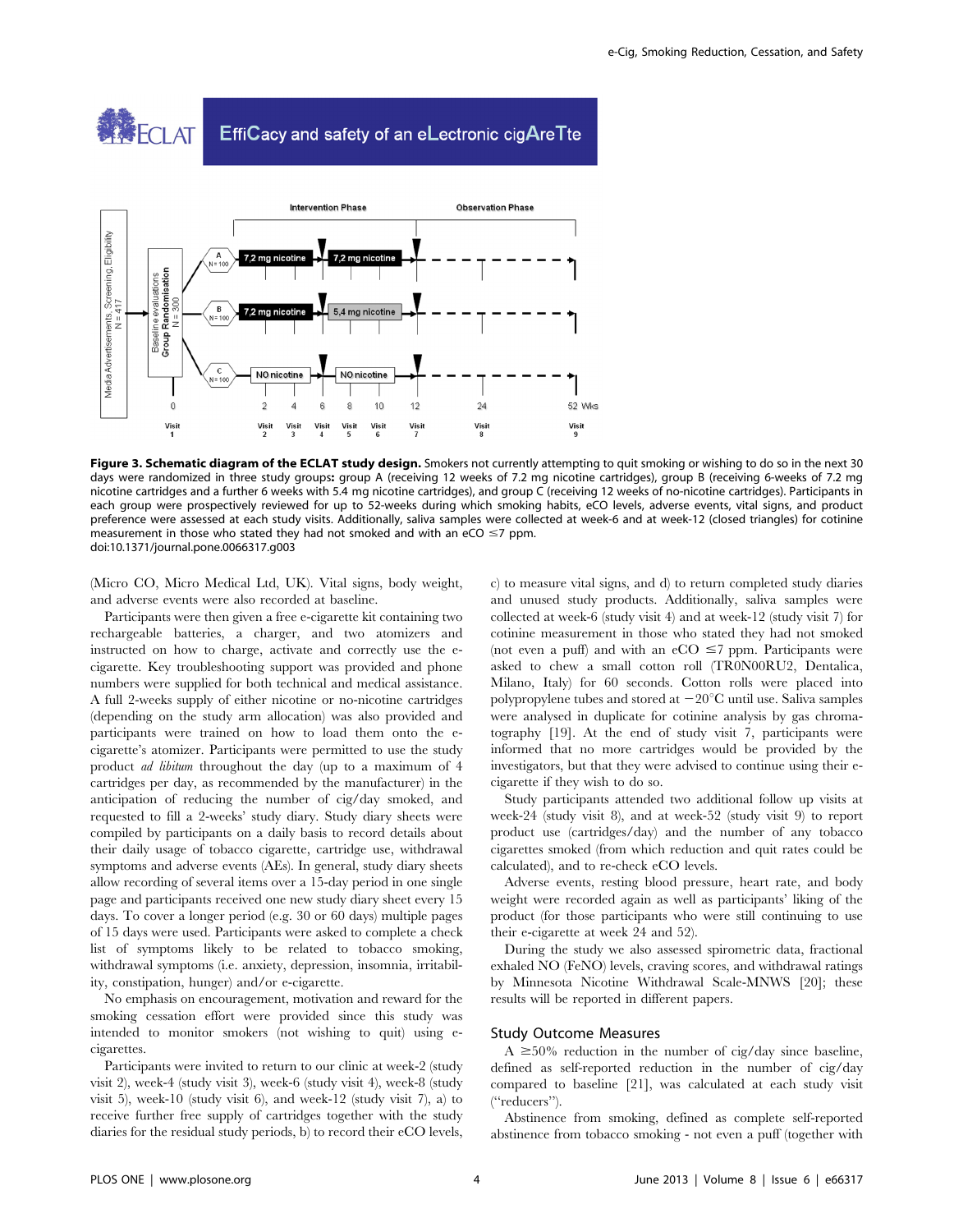



Figure 3. Schematic diagram of the ECLAT study design. Smokers not currently attempting to quit smoking or wishing to do so in the next 30 days were randomized in three study groups: group A (receiving 12 weeks of 7.2 mg nicotine cartridges), group B (receiving 6-weeks of 7.2 mg nicotine cartridges and a further 6 weeks with 5.4 mg nicotine cartridges), and group C (receiving 12 weeks of no-nicotine cartridges). Participants in each group were prospectively reviewed for up to 52-weeks during which smoking habits, eCO levels, adverse events, vital signs, and product preference were assessed at each study visits. Additionally, saliva samples were collected at week-6 and at week-12 (closed triangles) for cotinine measurement in those who stated they had not smoked and with an eCO  $\leq$ 7 ppm. doi:10.1371/journal.pone.0066317.g003

(Micro CO, Micro Medical Ltd, UK). Vital signs, body weight, and adverse events were also recorded at baseline.

Participants were then given a free e-cigarette kit containing two rechargeable batteries, a charger, and two atomizers and instructed on how to charge, activate and correctly use the ecigarette. Key troubleshooting support was provided and phone numbers were supplied for both technical and medical assistance. A full 2-weeks supply of either nicotine or no-nicotine cartridges (depending on the study arm allocation) was also provided and participants were trained on how to load them onto the ecigarette's atomizer. Participants were permitted to use the study product ad libitum throughout the day (up to a maximum of 4 cartridges per day, as recommended by the manufacturer) in the anticipation of reducing the number of cig/day smoked, and requested to fill a 2-weeks' study diary. Study diary sheets were compiled by participants on a daily basis to record details about their daily usage of tobacco cigarette, cartridge use, withdrawal symptoms and adverse events (AEs). In general, study diary sheets allow recording of several items over a 15-day period in one single page and participants received one new study diary sheet every 15 days. To cover a longer period (e.g. 30 or 60 days) multiple pages of 15 days were used. Participants were asked to complete a check list of symptoms likely to be related to tobacco smoking, withdrawal symptoms (i.e. anxiety, depression, insomnia, irritability, constipation, hunger) and/or e-cigarette.

No emphasis on encouragement, motivation and reward for the smoking cessation effort were provided since this study was intended to monitor smokers (not wishing to quit) using ecigarettes.

Participants were invited to return to our clinic at week-2 (study visit 2), week-4 (study visit 3), week-6 (study visit 4), week-8 (study visit 5), week-10 (study visit 6), and week-12 (study visit 7), a) to receive further free supply of cartridges together with the study diaries for the residual study periods, b) to record their eCO levels, c) to measure vital signs, and d) to return completed study diaries and unused study products. Additionally, saliva samples were collected at week-6 (study visit 4) and at week-12 (study visit 7) for cotinine measurement in those who stated they had not smoked (not even a puff) and with an eCO  $\leq$ 7 ppm. Participants were asked to chew a small cotton roll (TR0N00RU2, Dentalica, Milano, Italy) for 60 seconds. Cotton rolls were placed into polypropylene tubes and stored at  $-20^{\circ}$ C until use. Saliva samples were analysed in duplicate for cotinine analysis by gas chromatography [19]. At the end of study visit 7, participants were informed that no more cartridges would be provided by the investigators, but that they were advised to continue using their ecigarette if they wish to do so.

Study participants attended two additional follow up visits at week-24 (study visit 8), and at week-52 (study visit 9) to report product use (cartridges/day) and the number of any tobacco cigarettes smoked (from which reduction and quit rates could be calculated), and to re-check eCO levels.

Adverse events, resting blood pressure, heart rate, and body weight were recorded again as well as participants' liking of the product (for those participants who were still continuing to use their e-cigarette at week 24 and 52).

During the study we also assessed spirometric data, fractional exhaled NO (FeNO) levels, craving scores, and withdrawal ratings by Minnesota Nicotine Withdrawal Scale-MNWS [20]; these results will be reported in different papers.

## Study Outcome Measures

 $A \geq 50\%$  reduction in the number of cig/day since baseline, defined as self-reported reduction in the number of cig/day compared to baseline [21], was calculated at each study visit (''reducers'').

Abstinence from smoking, defined as complete self-reported abstinence from tobacco smoking - not even a puff (together with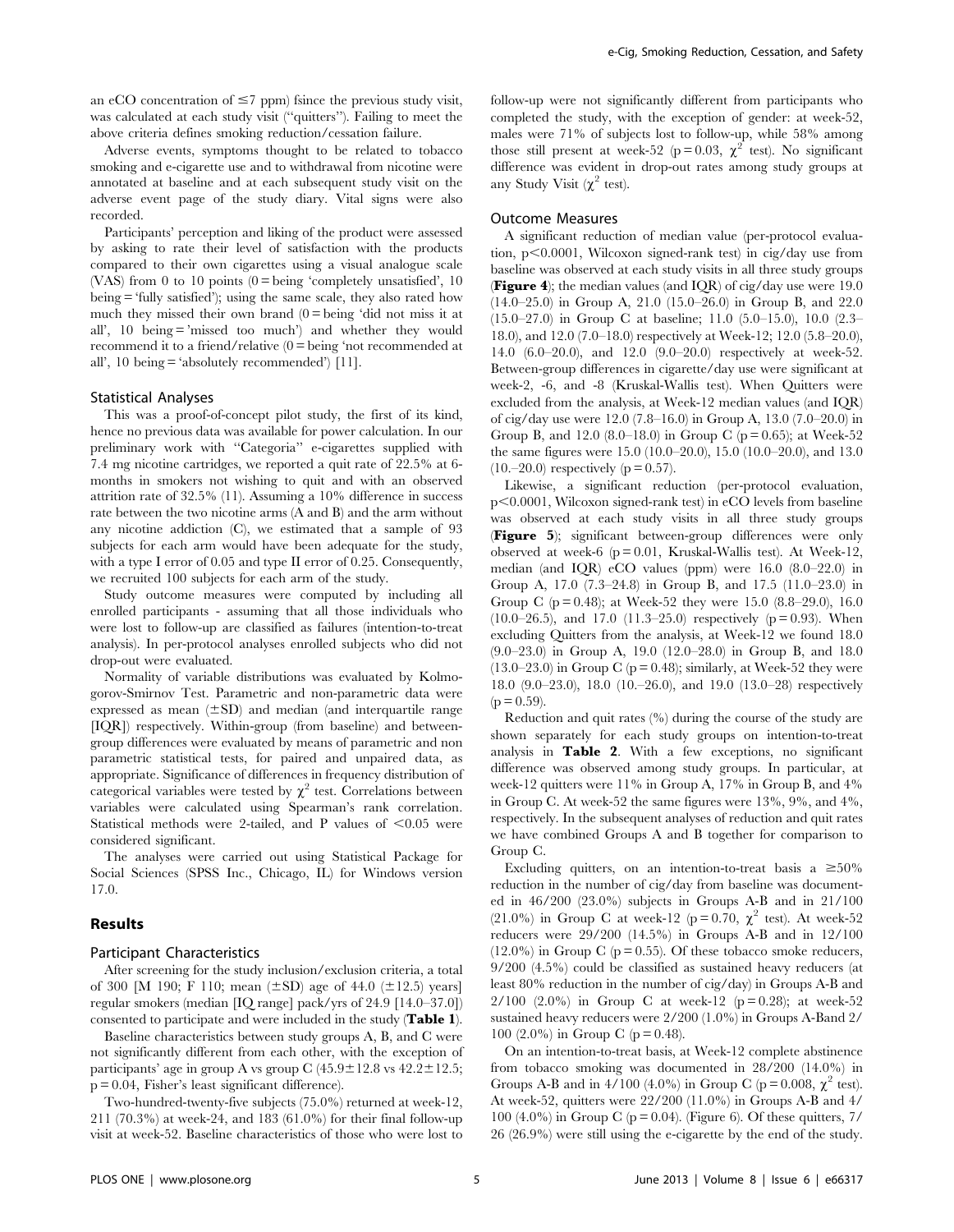an eCO concentration of  $\leq$ 7 ppm) fsince the previous study visit, was calculated at each study visit (''quitters''). Failing to meet the above criteria defines smoking reduction/cessation failure.

Adverse events, symptoms thought to be related to tobacco smoking and e-cigarette use and to withdrawal from nicotine were annotated at baseline and at each subsequent study visit on the adverse event page of the study diary. Vital signs were also recorded.

Participants' perception and liking of the product were assessed by asking to rate their level of satisfaction with the products compared to their own cigarettes using a visual analogue scale (VAS) from 0 to 10 points  $(0 = \text{being 'completely unsatisfied', 10})$ being = 'fully satisfied'); using the same scale, they also rated how much they missed their own brand  $(0 = \text{being 'did not miss it at})$ all', 10 being = 'missed too much') and whether they would recommend it to a friend/relative (0 = being 'not recommended at all', 10 being = 'absolutely recommended') [11].

#### Statistical Analyses

This was a proof-of-concept pilot study, the first of its kind, hence no previous data was available for power calculation. In our preliminary work with ''Categoria'' e-cigarettes supplied with 7.4 mg nicotine cartridges, we reported a quit rate of 22.5% at 6 months in smokers not wishing to quit and with an observed attrition rate of 32.5% (11). Assuming a 10% difference in success rate between the two nicotine arms (A and B) and the arm without any nicotine addiction (C), we estimated that a sample of 93 subjects for each arm would have been adequate for the study, with a type I error of 0.05 and type II error of 0.25. Consequently, we recruited 100 subjects for each arm of the study.

Study outcome measures were computed by including all enrolled participants - assuming that all those individuals who were lost to follow-up are classified as failures (intention-to-treat analysis). In per-protocol analyses enrolled subjects who did not drop-out were evaluated.

Normality of variable distributions was evaluated by Kolmogorov-Smirnov Test. Parametric and non-parametric data were expressed as mean  $(\pm SD)$  and median (and interquartile range [IQR]) respectively. Within-group (from baseline) and betweengroup differences were evaluated by means of parametric and non parametric statistical tests, for paired and unpaired data, as appropriate. Significance of differences in frequency distribution of categorical variables were tested by  $\chi^2$  test. Correlations between variables were calculated using Spearman's rank correlation. Statistical methods were 2-tailed, and P values of  $\leq 0.05$  were considered significant.

The analyses were carried out using Statistical Package for Social Sciences (SPSS Inc., Chicago, IL) for Windows version 17.0.

#### Results

## Participant Characteristics

After screening for the study inclusion/exclusion criteria, a total of 300 [M 190; F 110; mean  $(\pm SD)$  age of 44.0  $(\pm 12.5)$  years] regular smokers (median [IQ range] pack/yrs of 24.9 [14.0–37.0]) consented to participate and were included in the study (Table 1).

Baseline characteristics between study groups A, B, and C were not significantly different from each other, with the exception of participants' age in group A vs group C  $(45.9 \pm 12.8 \text{ vs } 42.2 \pm 12.5;$ p = 0.04, Fisher's least significant difference).

Two-hundred-twenty-five subjects (75.0%) returned at week-12, 211 (70.3%) at week-24, and 183 (61.0%) for their final follow-up visit at week-52. Baseline characteristics of those who were lost to

follow-up were not significantly different from participants who completed the study, with the exception of gender: at week-52, males were 71% of subjects lost to follow-up, while 58% among those still present at week-52 (p = 0.03,  $\chi^2$  test). No significant difference was evident in drop-out rates among study groups at any Study Visit  $(\chi^2 \text{ test})$ .

#### Outcome Measures

A significant reduction of median value (per-protocol evaluation,  $p<0.0001$ , Wilcoxon signed-rank test) in cig/day use from baseline was observed at each study visits in all three study groups **(Figure 4)**; the median values (and IQR) of cig/day use were 19.0 (14.0–25.0) in Group A, 21.0 (15.0–26.0) in Group B, and 22.0 (15.0–27.0) in Group C at baseline; 11.0 (5.0–15.0), 10.0 (2.3– 18.0), and 12.0 (7.0–18.0) respectively at Week-12; 12.0 (5.8–20.0), 14.0 (6.0–20.0), and 12.0 (9.0–20.0) respectively at week-52. Between-group differences in cigarette/day use were significant at week-2, -6, and -8 (Kruskal-Wallis test). When Quitters were excluded from the analysis, at Week-12 median values (and IQR) of cig/day use were 12.0 (7.8–16.0) in Group A, 13.0 (7.0–20.0) in Group B, and 12.0 (8.0–18.0) in Group C ( $p = 0.65$ ); at Week-52 the same figures were 15.0 (10.0–20.0), 15.0 (10.0–20.0), and 13.0  $(10,-20.0)$  respectively ( $p = 0.57$ ).

Likewise, a significant reduction (per-protocol evaluation,  $p<0.0001$ , Wilcoxon signed-rank test) in eCO levels from baseline was observed at each study visits in all three study groups (Figure 5); significant between-group differences were only observed at week-6 ( $p = 0.01$ , Kruskal-Wallis test). At Week-12, median (and IQR) eCO values (ppm) were 16.0 (8.0–22.0) in Group A, 17.0 (7.3–24.8) in Group B, and 17.5 (11.0–23.0) in Group C ( $p = 0.48$ ); at Week-52 they were 15.0 (8.8–29.0), 16.0  $(10.0–26.5)$ , and 17.0  $(11.3–25.0)$  respectively  $(p = 0.93)$ . When excluding Quitters from the analysis, at Week-12 we found 18.0 (9.0–23.0) in Group A, 19.0 (12.0–28.0) in Group B, and 18.0  $(13.0–23.0)$  in Group C (p = 0.48); similarly, at Week-52 they were 18.0 (9.0–23.0), 18.0 (10.–26.0), and 19.0 (13.0–28) respectively  $(p = 0.59)$ .

Reduction and quit rates (%) during the course of the study are shown separately for each study groups on intention-to-treat analysis in Table 2. With a few exceptions, no significant difference was observed among study groups. In particular, at week-12 quitters were 11% in Group A, 17% in Group B, and 4% in Group C. At week-52 the same figures were 13%, 9%, and 4%, respectively. In the subsequent analyses of reduction and quit rates we have combined Groups A and B together for comparison to Group C.

Excluding quitters, on an intention-to-treat basis a  $\geq 50\%$ reduction in the number of cig/day from baseline was documented in 46/200 (23.0%) subjects in Groups A-B and in 21/100 (21.0%) in Group C at week-12 (p = 0.70,  $\chi^2$  test). At week-52 reducers were 29/200 (14.5%) in Groups A-B and in 12/100  $(12.0\%)$  in Group C (p = 0.55). Of these tobacco smoke reducers, 9/200 (4.5%) could be classified as sustained heavy reducers (at least 80% reduction in the number of cig/day) in Groups A-B and 2/100 (2.0%) in Group C at week-12 ( $p = 0.28$ ); at week-52 sustained heavy reducers were 2/200 (1.0%) in Groups A-Band 2/ 100 (2.0%) in Group C ( $p = 0.48$ ).

On an intention-to-treat basis, at Week-12 complete abstinence from tobacco smoking was documented in 28/200 (14.0%) in Groups A-B and in 4/100 (4.0%) in Group C (p = 0.008,  $\chi^2$  test). At week-52, quitters were 22/200 (11.0%) in Groups A-B and 4/ 100 (4.0%) in Group C ( $p = 0.04$ ). (Figure 6). Of these quitters, 7/ 26 (26.9%) were still using the e-cigarette by the end of the study.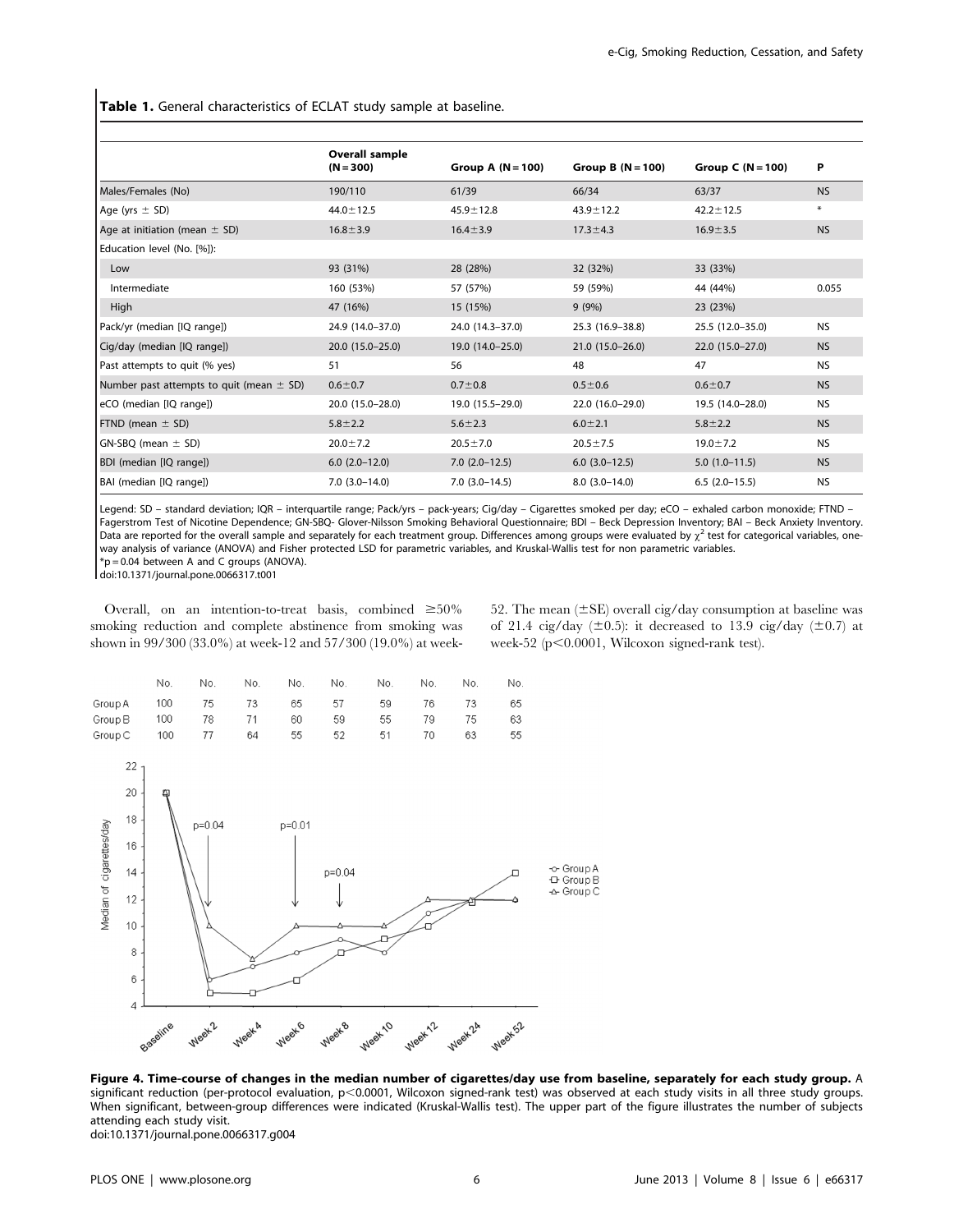Table 1. General characteristics of ECLAT study sample at baseline.

|                                              | Overall sample<br>$(N = 300)$ | Group A $(N = 100)$ | Group B $(N = 100)$ | Group C $(N = 100)$ | P         |
|----------------------------------------------|-------------------------------|---------------------|---------------------|---------------------|-----------|
| Males/Females (No)                           | 190/110                       | 61/39               | 66/34               | 63/37               | <b>NS</b> |
| Age (yrs $\pm$ SD)                           | $44.0 \pm 12.5$               | $45.9 \pm 12.8$     | $43.9 \pm 12.2$     | $42.2 \pm 12.5$     | $\ast$    |
| Age at initiation (mean $\pm$ SD)            | $16.8 \pm 3.9$                | $16.4 \pm 3.9$      | $17.3 \pm 4.3$      | $16.9 \pm 3.5$      | <b>NS</b> |
| Education level (No. [%]):                   |                               |                     |                     |                     |           |
| Low                                          | 93 (31%)                      | 28 (28%)            | 32 (32%)            | 33 (33%)            |           |
| Intermediate                                 | 160 (53%)                     | 57 (57%)            | 59 (59%)            | 44 (44%)            | 0.055     |
| High                                         | 47 (16%)                      | 15 (15%)            | 9(9%)               | 23 (23%)            |           |
| Pack/yr (median [IQ range])                  | 24.9 (14.0-37.0)              | 24.0 (14.3-37.0)    | 25.3 (16.9-38.8)    | 25.5 (12.0-35.0)    | <b>NS</b> |
| Cig/day (median [IQ range])                  | 20.0 (15.0-25.0)              | $19.0(14.0-25.0)$   | $21.0(15.0-26.0)$   | $22.0(15.0-27.0)$   | <b>NS</b> |
| Past attempts to quit (% yes)                | 51                            | 56                  | 48                  | 47                  | <b>NS</b> |
| Number past attempts to quit (mean $\pm$ SD) | $0.6 + 0.7$                   | $0.7 + 0.8$         | $0.5 \pm 0.6$       | $0.6 + 0.7$         | <b>NS</b> |
| eCO (median [IQ range])                      | 20.0 (15.0-28.0)              | 19.0 (15.5-29.0)    | 22.0 (16.0-29.0)    | 19.5 (14.0-28.0)    | <b>NS</b> |
| FTND (mean $\pm$ SD)                         | $5.8 \pm 2.2$                 | $5.6 \pm 2.3$       | $6.0 \pm 2.1$       | $5.8 \pm 2.2$       | <b>NS</b> |
| $GN-SBQ$ (mean $\pm$ SD)                     | $20.0 \pm 7.2$                | $20.5 \pm 7.0$      | $20.5 \pm 7.5$      | $19.0 \pm 7.2$      | <b>NS</b> |
| BDI (median [IQ range])                      | $6.0$ $(2.0-12.0)$            | $7.0(2.0-12.5)$     | $6.0$ $(3.0-12.5)$  | $5.0(1.0-11.5)$     | <b>NS</b> |
| BAI (median [IQ range])                      | $7.0(3.0-14.0)$               | $7.0(3.0-14.5)$     | $8.0(3.0-14.0)$     | $6.5(2.0-15.5)$     | <b>NS</b> |
|                                              |                               |                     |                     |                     |           |

Legend: SD – standard deviation; IQR – interquartile range; Pack/yrs – pack-years; Cig/day – Cigarettes smoked per day; eCO – exhaled carbon monoxide; FTND – Fagerstrom Test of Nicotine Dependence; GN-SBQ- Glover-Nilsson Smoking Behavioral Questionnaire; BDI – Beck Depression Inventory; BAI – Beck Anxiety Inventory. Data are reported for the overall sample and separately for each treatment group. Differences among groups were evaluated by  $\chi^2$  test for categorical variables, oneway analysis of variance (ANOVA) and Fisher protected LSD for parametric variables, and Kruskal-Wallis test for non parametric variables.  $*p = 0.04$  between A and C groups (ANOVA).

doi:10.1371/journal.pone.0066317.t001

Overall, on an intention-to-treat basis, combined  $\geq 50\%$ smoking reduction and complete abstinence from smoking was shown in 99/300 (33.0%) at week-12 and 57/300 (19.0%) at week52. The mean  $(\pm SE)$  overall cig/day consumption at baseline was of 21.4 cig/day ( $\pm$ 0.5): it decreased to 13.9 cig/day ( $\pm$ 0.7) at week-52 ( $p<0.0001$ , Wilcoxon signed-rank test).

|                               | No. | No.       | No. | No. No. | No.      | No. | No.  | No. |
|-------------------------------|-----|-----------|-----|---------|----------|-----|------|-----|
| Group A 100 75 73 65 57 59 76 |     |           |     |         |          |     | 73   | 65  |
| Group B 100 78 71 60 59       |     |           |     |         | 55       | 79. | - 75 | 63  |
| Group C                       |     | 100 77 64 |     |         | 55 52 51 | 70  | 63   | 55  |



Figure 4. Time-course of changes in the median number of cigarettes/day use from baseline, separately for each study group. A significant reduction (per-protocol evaluation, p<0.0001, Wilcoxon signed-rank test) was observed at each study visits in all three study groups. When significant, between-group differences were indicated (Kruskal-Wallis test). The upper part of the figure illustrates the number of subjects attending each study visit. doi:10.1371/journal.pone.0066317.g004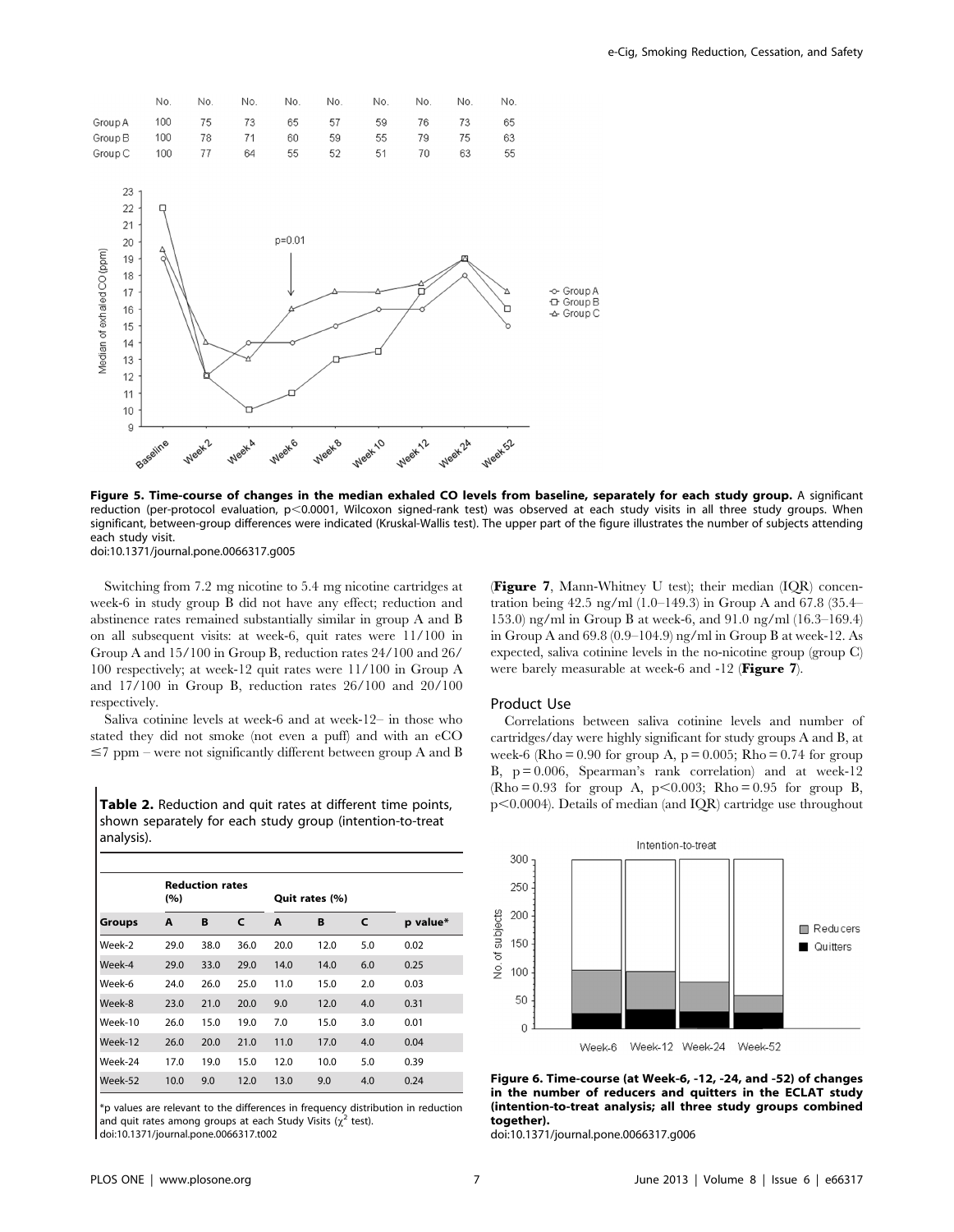

Figure 5. Time-course of changes in the median exhaled CO levels from baseline, separately for each study group. A significant reduction (per-protocol evaluation, p<0.0001, Wilcoxon signed-rank test) was observed at each study visits in all three study groups. When significant, between-group differences were indicated (Kruskal-Wallis test). The upper part of the figure illustrates the number of subjects attending each study visit. doi:10.1371/journal.pone.0066317.g005

Switching from 7.2 mg nicotine to 5.4 mg nicotine cartridges at week-6 in study group B did not have any effect; reduction and abstinence rates remained substantially similar in group A and B on all subsequent visits: at week-6, quit rates were 11/100 in Group A and 15/100 in Group B, reduction rates 24/100 and 26/ 100 respectively; at week-12 quit rates were 11/100 in Group A and 17/100 in Group B, reduction rates 26/100 and 20/100 respectively.

Saliva cotinine levels at week-6 and at week-12– in those who stated they did not smoke (not even a puff) and with an eCO  $\leq$ 7 ppm – were not significantly different between group A and B

Table 2. Reduction and quit rates at different time points, shown separately for each study group (intention-to-treat analysis).

|               | <b>Reduction rates</b><br>(%) |      |      | Quit rates (%) |      |     |          |
|---------------|-------------------------------|------|------|----------------|------|-----|----------|
| <b>Groups</b> | A                             | B    | C    | A              | В    | C   | p value* |
| Week-2        | 29.0                          | 38.0 | 36.0 | 20.0           | 12.0 | 5.0 | 0.02     |
| Week-4        | 29.0                          | 33.0 | 29.0 | 14.0           | 14.0 | 6.0 | 0.25     |
| Week-6        | 24.0                          | 26.0 | 25.0 | 11.0           | 15.0 | 2.0 | 0.03     |
| Week-8        | 23.0                          | 21.0 | 20.0 | 9.0            | 12.0 | 4.0 | 0.31     |
| Week-10       | 26.0                          | 15.0 | 19.0 | 7.0            | 15.0 | 3.0 | 0.01     |
| Week-12       | 26.0                          | 20.0 | 21.0 | 11.0           | 17.0 | 4.0 | 0.04     |
| Week-24       | 17.0                          | 19.0 | 15.0 | 12.0           | 10.0 | 5.0 | 0.39     |
| Week-52       | 10.0                          | 9.0  | 12.0 | 13.0           | 9.0  | 4.0 | 0.24     |

\*p values are relevant to the differences in frequency distribution in reduction and quit rates among groups at each Study Visits ( $\chi^2$  test). doi:10.1371/journal.pone.0066317.t002

(Figure 7, Mann-Whitney U test); their median (IQR) concentration being 42.5 ng/ml (1.0–149.3) in Group A and 67.8 (35.4– 153.0) ng/ml in Group B at week-6, and 91.0 ng/ml (16.3–169.4) in Group A and 69.8 (0.9–104.9) ng/ml in Group B at week-12. As expected, saliva cotinine levels in the no-nicotine group (group C) were barely measurable at week-6 and -12 (Figure 7).

# Product Use

Correlations between saliva cotinine levels and number of cartridges/day were highly significant for study groups A and B, at week-6 (Rho =  $0.90$  for group A,  $p = 0.005$ ; Rho =  $0.74$  for group B,  $p = 0.006$ , Spearman's rank correlation) and at week-12  $(Rho = 0.93$  for group A,  $p < 0.003$ ; Rho = 0.95 for group B,  $p<0.0004$ ). Details of median (and IQR) cartridge use throughout



Figure 6. Time-course (at Week-6, -12, -24, and -52) of changes in the number of reducers and quitters in the ECLAT study (intention-to-treat analysis; all three study groups combined together).

doi:10.1371/journal.pone.0066317.g006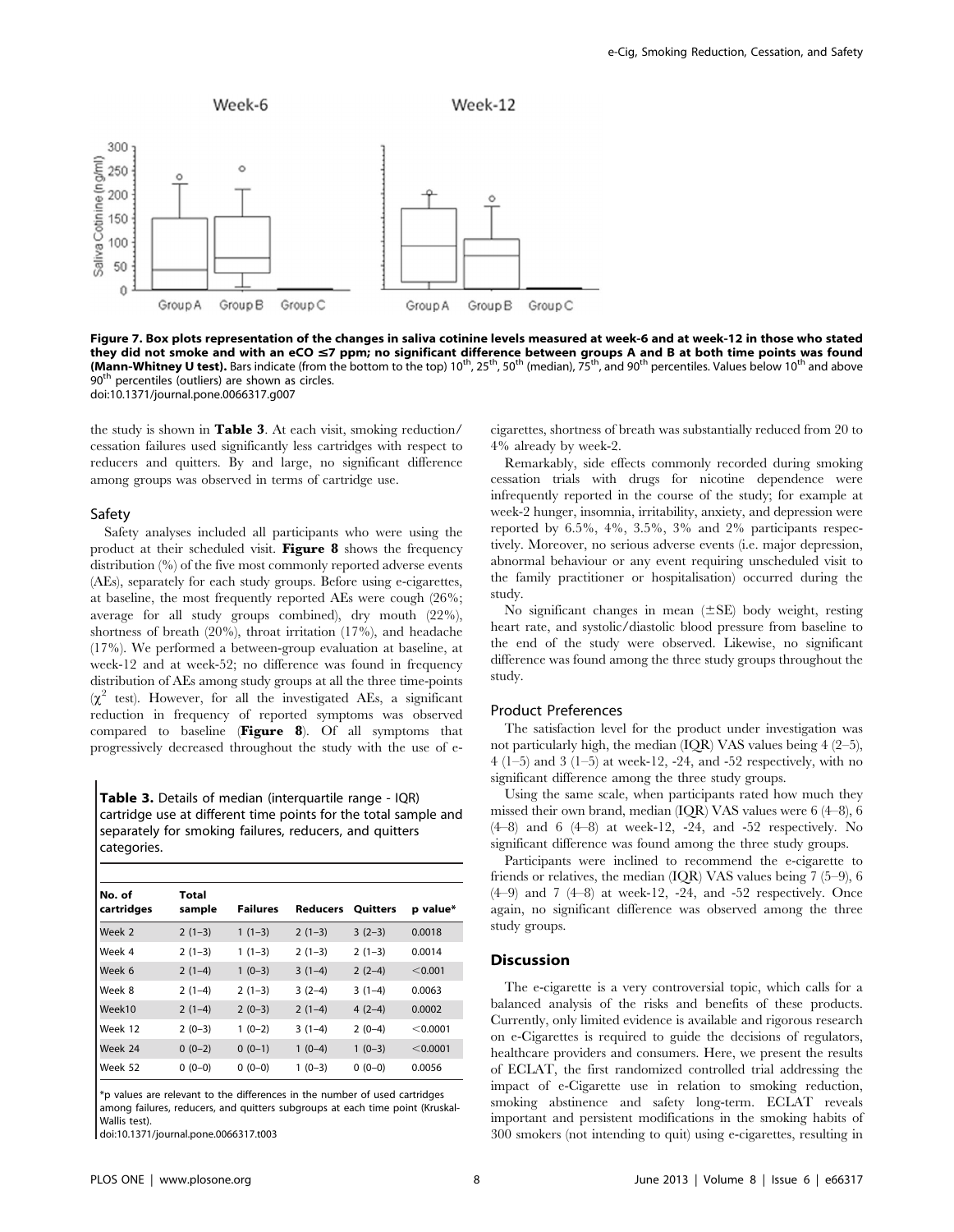

Figure 7. Box plots representation of the changes in saliva cotinine levels measured at week-6 and at week-12 in those who stated they did not smoke and with an eCO  $\leq$ 7 ppm; no significant difference between groups A and B at both time points was found (Mann-Whitney U test). Bars indicate (from the bottom to the top)  $10^{th}$ ,  $25^{th}$ ,  $50^{th}$  (median),  $75^{th}$ , and 90<sup>th</sup> percentiles. Values below  $10^{th}$  and above 90<sup>th</sup> percentiles (outliers) are shown as circles. doi:10.1371/journal.pone.0066317.g007

the study is shown in Table 3. At each visit, smoking reduction/ cessation failures used significantly less cartridges with respect to reducers and quitters. By and large, no significant difference among groups was observed in terms of cartridge use.

#### Safety

Safety analyses included all participants who were using the product at their scheduled visit. Figure 8 shows the frequency distribution (%) of the five most commonly reported adverse events (AEs), separately for each study groups. Before using e-cigarettes, at baseline, the most frequently reported AEs were cough (26%; average for all study groups combined), dry mouth (22%), shortness of breath (20%), throat irritation (17%), and headache (17%). We performed a between-group evaluation at baseline, at week-12 and at week-52; no difference was found in frequency distribution of AEs among study groups at all the three time-points  $(\chi^2$  test). However, for all the investigated AEs, a significant reduction in frequency of reported symptoms was observed compared to baseline (Figure 8). Of all symptoms that progressively decreased throughout the study with the use of e-

Table 3. Details of median (interquartile range - IQR) cartridge use at different time points for the total sample and separately for smoking failures, reducers, and quitters categories.

| No. of<br>cartridges | Total<br>sample | <b>Failures</b> | <b>Reducers</b> | <b>Quitters</b> | p value* |
|----------------------|-----------------|-----------------|-----------------|-----------------|----------|
| Week 2               | $2(1-3)$        | $1(1-3)$        | $2(1-3)$        | $3(2-3)$        | 0.0018   |
| Week 4               | $2(1-3)$        | $1(1-3)$        | $2(1-3)$        | $2(1-3)$        | 0.0014   |
| Week 6               | $2(1-4)$        | $1(0-3)$        | $3(1-4)$        | $2(2-4)$        | < 0.001  |
| Week 8               | $2(1-4)$        | $2(1-3)$        | $3(2-4)$        | $3(1-4)$        | 0.0063   |
| Week10               | $2(1-4)$        | $2(0-3)$        | $2(1-4)$        | $4(2-4)$        | 0.0002   |
| Week 12              | $2(0-3)$        | $1(0-2)$        | $3(1-4)$        | $2(0-4)$        | < 0.0001 |
| Week 24              | $0(0-2)$        | $0(0-1)$        | $1(0-4)$        | $1(0-3)$        | < 0.0001 |
| Week 52              | $0(0-0)$        | $0(0-0)$        | $1(0-3)$        | $0(0-0)$        | 0.0056   |

\*p values are relevant to the differences in the number of used cartridges among failures, reducers, and quitters subgroups at each time point (Kruskal-Wallis test).

doi:10.1371/journal.pone.0066317.t003

cigarettes, shortness of breath was substantially reduced from 20 to 4% already by week-2.

Remarkably, side effects commonly recorded during smoking cessation trials with drugs for nicotine dependence were infrequently reported in the course of the study; for example at week-2 hunger, insomnia, irritability, anxiety, and depression were reported by 6.5%, 4%, 3.5%, 3% and 2% participants respectively. Moreover, no serious adverse events (i.e. major depression, abnormal behaviour or any event requiring unscheduled visit to the family practitioner or hospitalisation) occurred during the study.

No significant changes in mean  $(\pm SE)$  body weight, resting heart rate, and systolic/diastolic blood pressure from baseline to the end of the study were observed. Likewise, no significant difference was found among the three study groups throughout the study.

#### Product Preferences

The satisfaction level for the product under investigation was not particularly high, the median (IQR) VAS values being 4 (2–5), 4 (1–5) and 3 (1–5) at week-12, -24, and -52 respectively, with no significant difference among the three study groups.

Using the same scale, when participants rated how much they missed their own brand, median (IQR) VAS values were 6 (4–8), 6 (4–8) and 6 (4–8) at week-12, -24, and -52 respectively. No significant difference was found among the three study groups.

Participants were inclined to recommend the e-cigarette to friends or relatives, the median  $(IQR)$  VAS values being 7 (5–9), 6 (4–9) and 7 (4–8) at week-12, -24, and -52 respectively. Once again, no significant difference was observed among the three study groups.

# **Discussion**

The e-cigarette is a very controversial topic, which calls for a balanced analysis of the risks and benefits of these products. Currently, only limited evidence is available and rigorous research on e-Cigarettes is required to guide the decisions of regulators, healthcare providers and consumers. Here, we present the results of ECLAT, the first randomized controlled trial addressing the impact of e-Cigarette use in relation to smoking reduction, smoking abstinence and safety long-term. ECLAT reveals important and persistent modifications in the smoking habits of 300 smokers (not intending to quit) using e-cigarettes, resulting in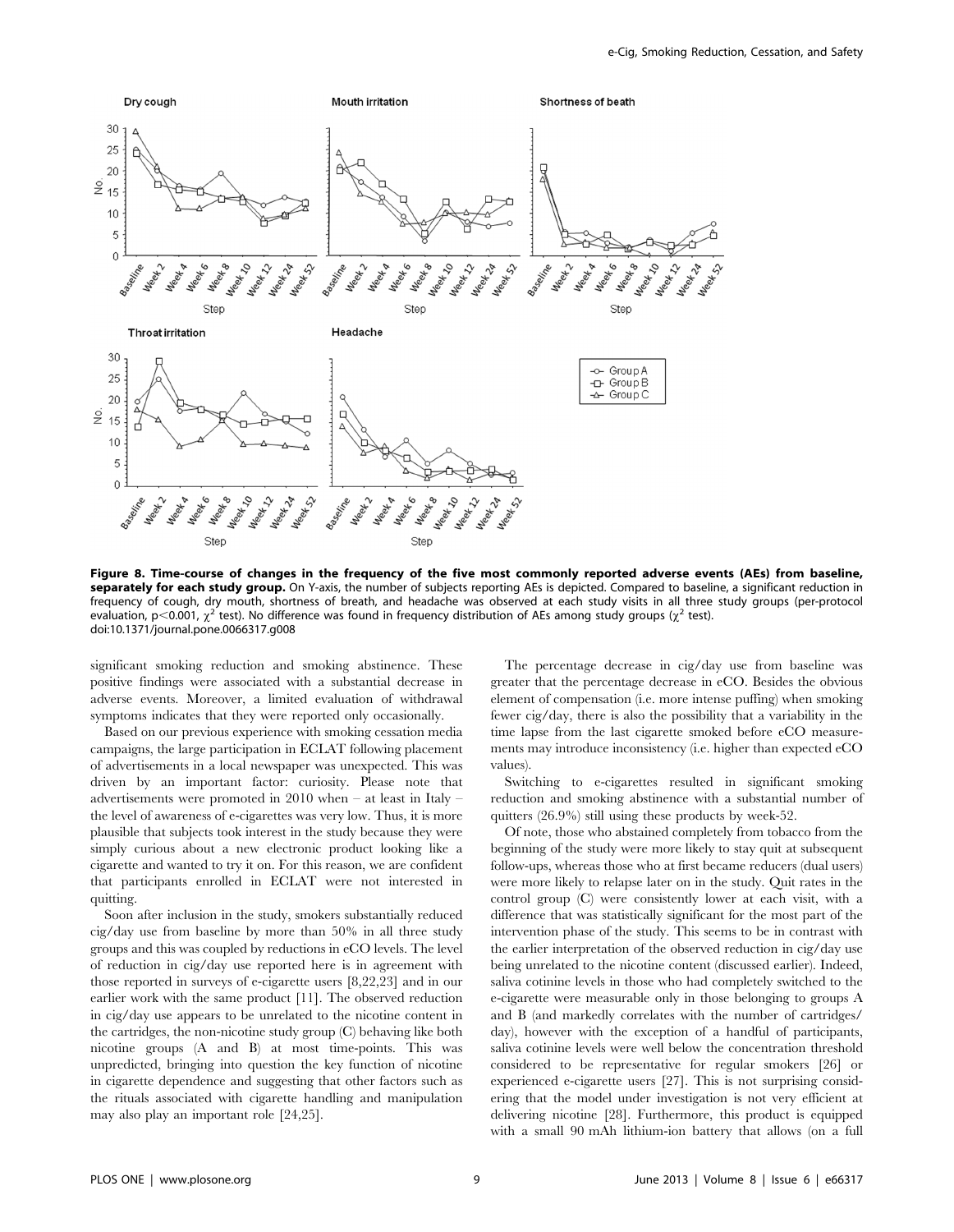

Figure 8. Time-course of changes in the frequency of the five most commonly reported adverse events (AEs) from baseline, separately for each study group. On Y-axis, the number of subjects reporting AEs is depicted. Compared to baseline, a significant reduction in frequency of cough, dry mouth, shortness of breath, and headache was observed at each study visits in all three study groups (per-protocol evaluation, p<0.001,  $\chi^2$  test). No difference was found in frequency distribution of AEs among study groups ( $\chi^2$  test). doi:10.1371/journal.pone.0066317.g008

significant smoking reduction and smoking abstinence. These positive findings were associated with a substantial decrease in adverse events. Moreover, a limited evaluation of withdrawal symptoms indicates that they were reported only occasionally.

Based on our previous experience with smoking cessation media campaigns, the large participation in ECLAT following placement of advertisements in a local newspaper was unexpected. This was driven by an important factor: curiosity. Please note that advertisements were promoted in 2010 when – at least in Italy – the level of awareness of e-cigarettes was very low. Thus, it is more plausible that subjects took interest in the study because they were simply curious about a new electronic product looking like a cigarette and wanted to try it on. For this reason, we are confident that participants enrolled in ECLAT were not interested in quitting.

Soon after inclusion in the study, smokers substantially reduced cig/day use from baseline by more than 50% in all three study groups and this was coupled by reductions in eCO levels. The level of reduction in cig/day use reported here is in agreement with those reported in surveys of e-cigarette users [8,22,23] and in our earlier work with the same product [11]. The observed reduction in cig/day use appears to be unrelated to the nicotine content in the cartridges, the non-nicotine study group (C) behaving like both nicotine groups (A and B) at most time-points. This was unpredicted, bringing into question the key function of nicotine in cigarette dependence and suggesting that other factors such as the rituals associated with cigarette handling and manipulation may also play an important role [24,25].

The percentage decrease in cig/day use from baseline was greater that the percentage decrease in eCO. Besides the obvious element of compensation (i.e. more intense puffing) when smoking fewer cig/day, there is also the possibility that a variability in the time lapse from the last cigarette smoked before eCO measurements may introduce inconsistency (i.e. higher than expected eCO values).

Switching to e-cigarettes resulted in significant smoking reduction and smoking abstinence with a substantial number of quitters (26.9%) still using these products by week-52.

Of note, those who abstained completely from tobacco from the beginning of the study were more likely to stay quit at subsequent follow-ups, whereas those who at first became reducers (dual users) were more likely to relapse later on in the study. Quit rates in the control group (C) were consistently lower at each visit, with a difference that was statistically significant for the most part of the intervention phase of the study. This seems to be in contrast with the earlier interpretation of the observed reduction in cig/day use being unrelated to the nicotine content (discussed earlier). Indeed, saliva cotinine levels in those who had completely switched to the e-cigarette were measurable only in those belonging to groups A and B (and markedly correlates with the number of cartridges/ day), however with the exception of a handful of participants, saliva cotinine levels were well below the concentration threshold considered to be representative for regular smokers [26] or experienced e-cigarette users [27]. This is not surprising considering that the model under investigation is not very efficient at delivering nicotine [28]. Furthermore, this product is equipped with a small 90 mAh lithium-ion battery that allows (on a full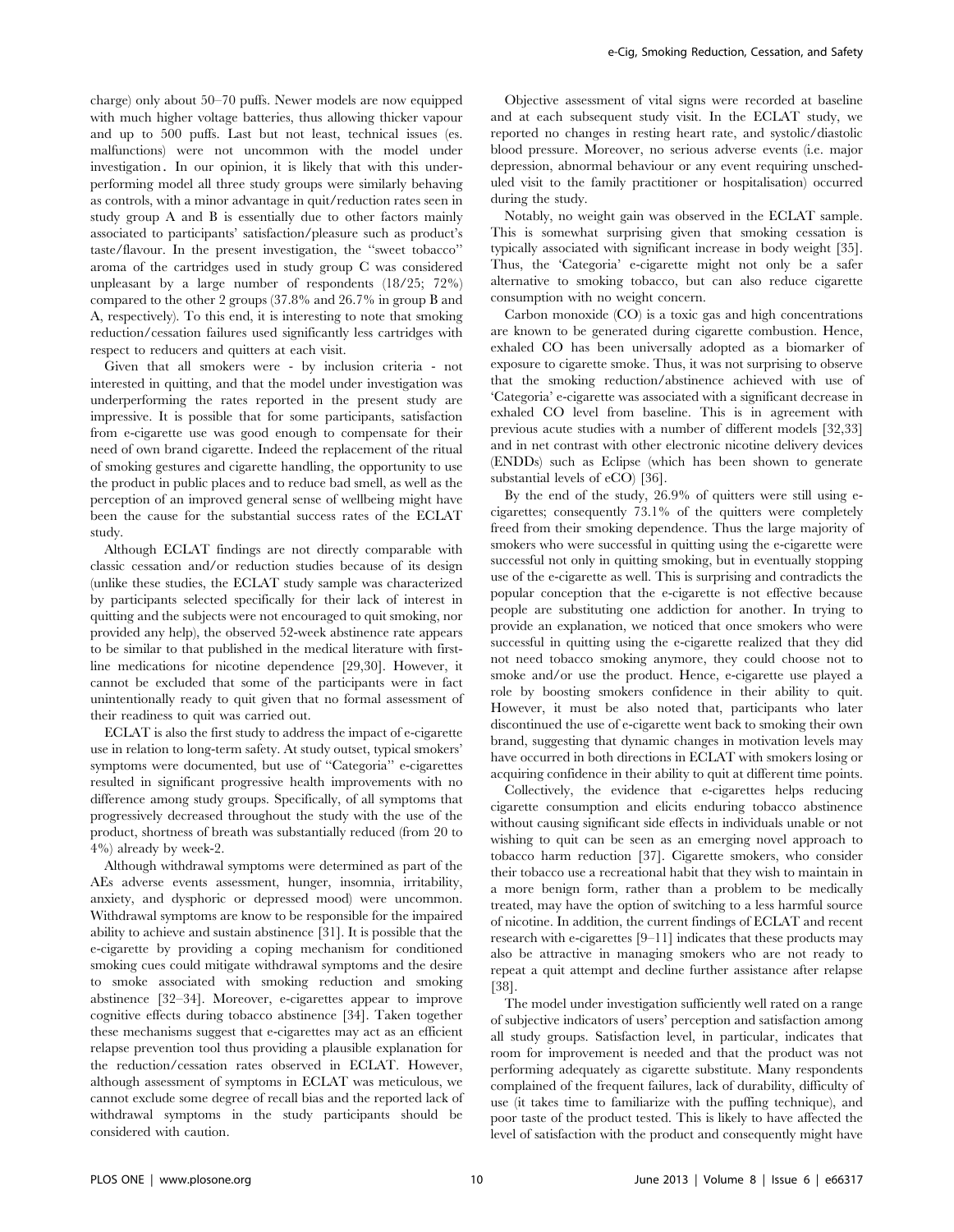charge) only about 50–70 puffs. Newer models are now equipped with much higher voltage batteries, thus allowing thicker vapour and up to 500 puffs. Last but not least, technical issues (es. malfunctions) were not uncommon with the model under investigation. In our opinion, it is likely that with this underperforming model all three study groups were similarly behaving as controls, with a minor advantage in quit/reduction rates seen in study group A and B is essentially due to other factors mainly associated to participants' satisfaction/pleasure such as product's taste/flavour. In the present investigation, the ''sweet tobacco'' aroma of the cartridges used in study group C was considered unpleasant by a large number of respondents (18/25; 72%) compared to the other 2 groups (37.8% and 26.7% in group B and A, respectively). To this end, it is interesting to note that smoking reduction/cessation failures used significantly less cartridges with respect to reducers and quitters at each visit.

Given that all smokers were - by inclusion criteria - not interested in quitting, and that the model under investigation was underperforming the rates reported in the present study are impressive. It is possible that for some participants, satisfaction from e-cigarette use was good enough to compensate for their need of own brand cigarette. Indeed the replacement of the ritual of smoking gestures and cigarette handling, the opportunity to use the product in public places and to reduce bad smell, as well as the perception of an improved general sense of wellbeing might have been the cause for the substantial success rates of the ECLAT study.

Although ECLAT findings are not directly comparable with classic cessation and/or reduction studies because of its design (unlike these studies, the ECLAT study sample was characterized by participants selected specifically for their lack of interest in quitting and the subjects were not encouraged to quit smoking, nor provided any help), the observed 52-week abstinence rate appears to be similar to that published in the medical literature with firstline medications for nicotine dependence [29,30]. However, it cannot be excluded that some of the participants were in fact unintentionally ready to quit given that no formal assessment of their readiness to quit was carried out.

ECLAT is also the first study to address the impact of e-cigarette use in relation to long-term safety. At study outset, typical smokers' symptoms were documented, but use of ''Categoria'' e-cigarettes resulted in significant progressive health improvements with no difference among study groups. Specifically, of all symptoms that progressively decreased throughout the study with the use of the product, shortness of breath was substantially reduced (from 20 to 4%) already by week-2.

Although withdrawal symptoms were determined as part of the AEs adverse events assessment, hunger, insomnia, irritability, anxiety, and dysphoric or depressed mood) were uncommon. Withdrawal symptoms are know to be responsible for the impaired ability to achieve and sustain abstinence [31]. It is possible that the e-cigarette by providing a coping mechanism for conditioned smoking cues could mitigate withdrawal symptoms and the desire to smoke associated with smoking reduction and smoking abstinence [32–34]. Moreover, e-cigarettes appear to improve cognitive effects during tobacco abstinence [34]. Taken together these mechanisms suggest that e-cigarettes may act as an efficient relapse prevention tool thus providing a plausible explanation for the reduction/cessation rates observed in ECLAT. However, although assessment of symptoms in ECLAT was meticulous, we cannot exclude some degree of recall bias and the reported lack of withdrawal symptoms in the study participants should be considered with caution.

Objective assessment of vital signs were recorded at baseline and at each subsequent study visit. In the ECLAT study, we reported no changes in resting heart rate, and systolic/diastolic blood pressure. Moreover, no serious adverse events (i.e. major depression, abnormal behaviour or any event requiring unscheduled visit to the family practitioner or hospitalisation) occurred during the study.

Notably, no weight gain was observed in the ECLAT sample. This is somewhat surprising given that smoking cessation is typically associated with significant increase in body weight [35]. Thus, the 'Categoria' e-cigarette might not only be a safer alternative to smoking tobacco, but can also reduce cigarette consumption with no weight concern.

Carbon monoxide (CO) is a toxic gas and high concentrations are known to be generated during cigarette combustion. Hence, exhaled CO has been universally adopted as a biomarker of exposure to cigarette smoke. Thus, it was not surprising to observe that the smoking reduction/abstinence achieved with use of 'Categoria' e-cigarette was associated with a significant decrease in exhaled CO level from baseline. This is in agreement with previous acute studies with a number of different models [32,33] and in net contrast with other electronic nicotine delivery devices (ENDDs) such as Eclipse (which has been shown to generate substantial levels of eCO) [36].

By the end of the study, 26.9% of quitters were still using ecigarettes; consequently 73.1% of the quitters were completely freed from their smoking dependence. Thus the large majority of smokers who were successful in quitting using the e-cigarette were successful not only in quitting smoking, but in eventually stopping use of the e-cigarette as well. This is surprising and contradicts the popular conception that the e-cigarette is not effective because people are substituting one addiction for another. In trying to provide an explanation, we noticed that once smokers who were successful in quitting using the e-cigarette realized that they did not need tobacco smoking anymore, they could choose not to smoke and/or use the product. Hence, e-cigarette use played a role by boosting smokers confidence in their ability to quit. However, it must be also noted that, participants who later discontinued the use of e-cigarette went back to smoking their own brand, suggesting that dynamic changes in motivation levels may have occurred in both directions in ECLAT with smokers losing or acquiring confidence in their ability to quit at different time points.

Collectively, the evidence that e-cigarettes helps reducing cigarette consumption and elicits enduring tobacco abstinence without causing significant side effects in individuals unable or not wishing to quit can be seen as an emerging novel approach to tobacco harm reduction [37]. Cigarette smokers, who consider their tobacco use a recreational habit that they wish to maintain in a more benign form, rather than a problem to be medically treated, may have the option of switching to a less harmful source of nicotine. In addition, the current findings of ECLAT and recent research with e-cigarettes [9–11] indicates that these products may also be attractive in managing smokers who are not ready to repeat a quit attempt and decline further assistance after relapse [38].

The model under investigation sufficiently well rated on a range of subjective indicators of users' perception and satisfaction among all study groups. Satisfaction level, in particular, indicates that room for improvement is needed and that the product was not performing adequately as cigarette substitute. Many respondents complained of the frequent failures, lack of durability, difficulty of use (it takes time to familiarize with the puffing technique), and poor taste of the product tested. This is likely to have affected the level of satisfaction with the product and consequently might have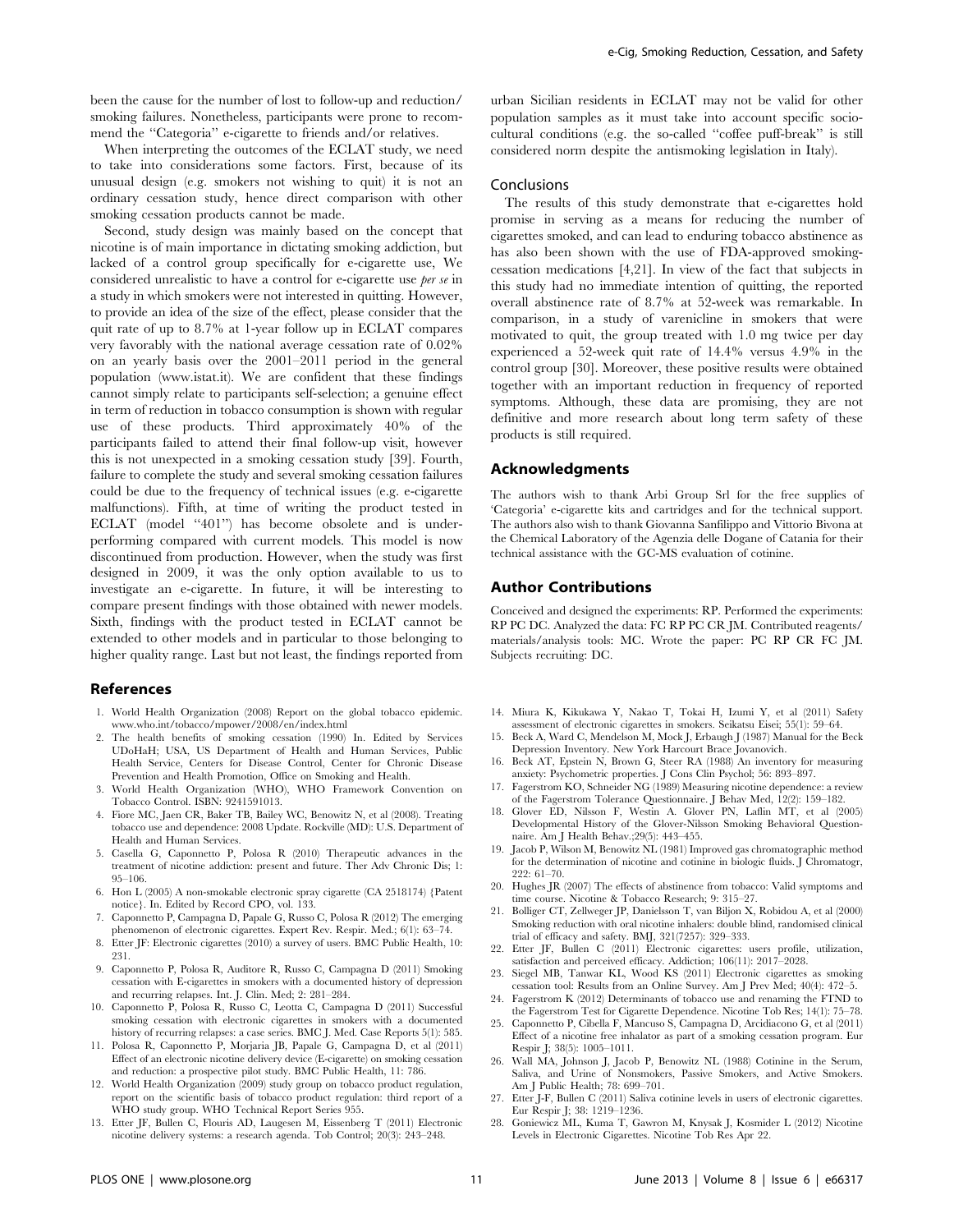been the cause for the number of lost to follow-up and reduction/ smoking failures. Nonetheless, participants were prone to recommend the ''Categoria'' e-cigarette to friends and/or relatives.

When interpreting the outcomes of the ECLAT study, we need to take into considerations some factors. First, because of its unusual design (e.g. smokers not wishing to quit) it is not an ordinary cessation study, hence direct comparison with other smoking cessation products cannot be made.

Second, study design was mainly based on the concept that nicotine is of main importance in dictating smoking addiction, but lacked of a control group specifically for e-cigarette use, We considered unrealistic to have a control for e-cigarette use per se in a study in which smokers were not interested in quitting. However, to provide an idea of the size of the effect, please consider that the quit rate of up to 8.7% at 1-year follow up in ECLAT compares very favorably with the national average cessation rate of 0.02% on an yearly basis over the 2001–2011 period in the general population (www.istat.it). We are confident that these findings cannot simply relate to participants self-selection; a genuine effect in term of reduction in tobacco consumption is shown with regular use of these products. Third approximately 40% of the participants failed to attend their final follow-up visit, however this is not unexpected in a smoking cessation study [39]. Fourth, failure to complete the study and several smoking cessation failures could be due to the frequency of technical issues (e.g. e-cigarette malfunctions). Fifth, at time of writing the product tested in ECLAT (model "401") has become obsolete and is underperforming compared with current models. This model is now discontinued from production. However, when the study was first designed in 2009, it was the only option available to us to investigate an e-cigarette. In future, it will be interesting to compare present findings with those obtained with newer models. Sixth, findings with the product tested in ECLAT cannot be extended to other models and in particular to those belonging to higher quality range. Last but not least, the findings reported from

#### References

- 1. World Health Organization (2008) Report on the global tobacco epidemic. www.who.int/tobacco/mpower/2008/en/index.html
- 2. The health benefits of smoking cessation (1990) In. Edited by Services UDoHaH; USA, US Department of Health and Human Services, Public Health Service, Centers for Disease Control, Center for Chronic Disease Prevention and Health Promotion, Office on Smoking and Health.
- 3. World Health Organization (WHO), WHO Framework Convention on Tobacco Control. ISBN: 9241591013.
- 4. Fiore MC, Jaen CR, Baker TB, Bailey WC, Benowitz N, et al (2008). Treating tobacco use and dependence: 2008 Update. Rockville (MD): U.S. Department of Health and Human Services.
- 5. Casella G, Caponnetto P, Polosa R (2010) Therapeutic advances in the treatment of nicotine addiction: present and future. Ther Adv Chronic Dis; 1: 95–106.
- 6. Hon L (2005) A non-smokable electronic spray cigarette (CA 2518174) {Patent notice}. In. Edited by Record CPO, vol. 133.
- 7. Caponnetto P, Campagna D, Papale G, Russo C, Polosa R (2012) The emerging phenomenon of electronic cigarettes. Expert Rev. Respir. Med.; 6(1): 63–74.
- 8. Etter JF: Electronic cigarettes (2010) a survey of users. BMC Public Health, 10: 231.
- 9. Caponnetto P, Polosa R, Auditore R, Russo C, Campagna D (2011) Smoking cessation with E-cigarettes in smokers with a documented history of depression and recurring relapses. Int. J. Clin. Med; 2: 281–284.
- 10. Caponnetto P, Polosa R, Russo C, Leotta C, Campagna D (2011) Successful smoking cessation with electronic cigarettes in smokers with a documented history of recurring relapses: a case series. BMC J. Med. Case Reports 5(1): 585.
- 11. Polosa R, Caponnetto P, Morjaria JB, Papale G, Campagna D, et al (2011) Effect of an electronic nicotine delivery device (E-cigarette) on smoking cessation and reduction: a prospective pilot study. BMC Public Health, 11: 786.
- 12. World Health Organization (2009) study group on tobacco product regulation, report on the scientific basis of tobacco product regulation: third report of a WHO study group. WHO Technical Report Series 955.
- 13. Etter JF, Bullen C, Flouris AD, Laugesen M, Eissenberg T (2011) Electronic nicotine delivery systems: a research agenda. Tob Control; 20(3): 243–248.

urban Sicilian residents in ECLAT may not be valid for other population samples as it must take into account specific sociocultural conditions (e.g. the so-called ''coffee puff-break'' is still considered norm despite the antismoking legislation in Italy).

#### Conclusions

The results of this study demonstrate that e-cigarettes hold promise in serving as a means for reducing the number of cigarettes smoked, and can lead to enduring tobacco abstinence as has also been shown with the use of FDA-approved smokingcessation medications [4,21]. In view of the fact that subjects in this study had no immediate intention of quitting, the reported overall abstinence rate of 8.7% at 52-week was remarkable. In comparison, in a study of varenicline in smokers that were motivated to quit, the group treated with 1.0 mg twice per day experienced a 52-week quit rate of 14.4% versus 4.9% in the control group [30]. Moreover, these positive results were obtained together with an important reduction in frequency of reported symptoms. Although, these data are promising, they are not definitive and more research about long term safety of these products is still required.

#### Acknowledgments

The authors wish to thank Arbi Group Srl for the free supplies of 'Categoria' e-cigarette kits and cartridges and for the technical support. The authors also wish to thank Giovanna Sanfilippo and Vittorio Bivona at the Chemical Laboratory of the Agenzia delle Dogane of Catania for their technical assistance with the GC-MS evaluation of cotinine.

# Author Contributions

Conceived and designed the experiments: RP. Performed the experiments: RP PC DC. Analyzed the data: FC RP PC CR JM. Contributed reagents/ materials/analysis tools: MC. Wrote the paper: PC RP CR FC JM. Subjects recruiting: DC.

- 14. Miura K, Kikukawa Y, Nakao T, Tokai H, Izumi Y, et al (2011) Safety assessment of electronic cigarettes in smokers. Seikatsu Eisei; 55(1): 59–64.
- 15. Beck A, Ward C, Mendelson M, Mock J, Erbaugh J (1987) Manual for the Beck Depression Inventory. New York Harcourt Brace Jovanovich. 16. Beck AT, Epstein N, Brown G, Steer RA (1988) An inventory for measuring
- anxiety: Psychometric properties. J Cons Clin Psychol; 56: 893–897.
- 17. Fagerstrom KO, Schneider NG (1989) Measuring nicotine dependence: a review of the Fagerstrom Tolerance Questionnaire. J Behav Med, 12(2): 159–182.
- 18. Glover ED, Nilsson F, Westin A. Glover PN, Laflin MT, et al (2005) Developmental History of the Glover-Nilsson Smoking Behavioral Questionnaire. Am J Health Behav.;29(5): 443–455.
- 19. Jacob P, Wilson M, Benowitz NL (1981) Improved gas chromatographic method for the determination of nicotine and cotinine in biologic fluids. J Chromatogr, 222: 61–70.
- 20. Hughes JR (2007) The effects of abstinence from tobacco: Valid symptoms and time course. Nicotine & Tobacco Research; 9: 315–27.
- 21. Bolliger CT, Zellweger JP, Danielsson T, van Biljon X, Robidou A, et al (2000) Smoking reduction with oral nicotine inhalers: double blind, randomised clinical trial of efficacy and safety. BMJ, 321(7257): 329–333.
- 22. Etter JF, Bullen C (2011) Electronic cigarettes: users profile, utilization, satisfaction and perceived efficacy. Addiction; 106(11): 2017–2028.
- 23. Siegel MB, Tanwar KL, Wood KS (2011) Electronic cigarettes as smoking cessation tool: Results from an Online Survey. Am J Prev Med; 40(4): 472–5.
- 24. Fagerstrom K (2012) Determinants of tobacco use and renaming the FTND to the Fagerstrom Test for Cigarette Dependence. Nicotine Tob Res; 14(1): 75–78.
- 25. Caponnetto P, Cibella F, Mancuso S, Campagna D, Arcidiacono G, et al (2011) Effect of a nicotine free inhalator as part of a smoking cessation program. Eur Respir J; 38(5): 1005–1011.
- 26. Wall MA, Johnson J, Jacob P, Benowitz NL (1988) Cotinine in the Serum, Saliva, and Urine of Nonsmokers, Passive Smokers, and Active Smokers. Am J Public Health; 78: 699–701.
- 27. Etter J-F, Bullen C (2011) Saliva cotinine levels in users of electronic cigarettes. Eur Respir J; 38: 1219–1236.
- 28. Goniewicz ML, Kuma T, Gawron M, Knysak J, Kosmider L (2012) Nicotine Levels in Electronic Cigarettes. Nicotine Tob Res Apr 22.